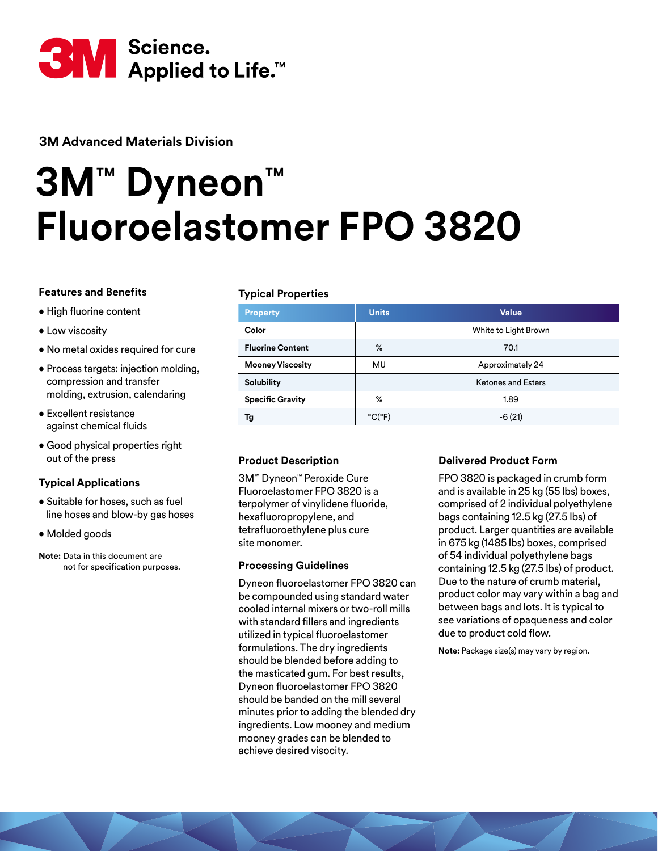

**3M Advanced Materials Division**

# **3M**™ **Dyneon**™ **Fluoroelastomer FPO 3820**

# **Features and Benefits**

- High fluorine content
- Low viscosity
- No metal oxides required for cure
- Process targets: injection molding, compression and transfer molding, extrusion, calendaring
- Excellent resistance against chemical fluids
- Good physical properties right out of the press

# **Typical Applications**

- Suitable for hoses, such as fuel line hoses and blow-by gas hoses
- Molded goods
- **Note:** Data in this document are not for specification purposes.

# **Typical Properties**

| <b>Property</b>         | <b>Units</b>                | Value                     |  |  |  |  |
|-------------------------|-----------------------------|---------------------------|--|--|--|--|
| Color                   |                             | White to Light Brown      |  |  |  |  |
| <b>Fluorine Content</b> | %                           | 70.1                      |  |  |  |  |
| <b>Mooney Viscosity</b> | MU                          | Approximately 24          |  |  |  |  |
| <b>Solubility</b>       |                             | <b>Ketones and Esters</b> |  |  |  |  |
| <b>Specific Gravity</b> | %                           | 1.89                      |  |  |  |  |
| Tg                      | $^{\circ}$ C( $^{\circ}$ F) | $-6(21)$                  |  |  |  |  |

# **Product Description**

3M™ Dyneon™ Peroxide Cure Fluoroelastomer FPO 3820 is a terpolymer of vinylidene fluoride, hexafluoropropylene, and tetrafluoroethylene plus cure site monomer.

# **Processing Guidelines**

Dyneon fluoroelastomer FPO 3820 can be compounded using standard water cooled internal mixers or two-roll mills with standard fillers and ingredients utilized in typical fluoroelastomer formulations. The dry ingredients should be blended before adding to the masticated gum. For best results, Dyneon fluoroelastomer FPO 3820 should be banded on the mill several minutes prior to adding the blended dry ingredients. Low mooney and medium mooney grades can be blended to achieve desired visocity.

# **Delivered Product Form**

FPO 3820 is packaged in crumb form and is available in 25 kg (55 lbs) boxes, comprised of 2 individual polyethylene bags containing 12.5 kg (27.5 lbs) of product. Larger quantities are available in 675 kg (1485 lbs) boxes, comprised of 54 individual polyethylene bags containing 12.5 kg (27.5 lbs) of product. Due to the nature of crumb material, product color may vary within a bag and between bags and lots. It is typical to see variations of opaqueness and color due to product cold flow.

**Note:** Package size(s) may vary by region.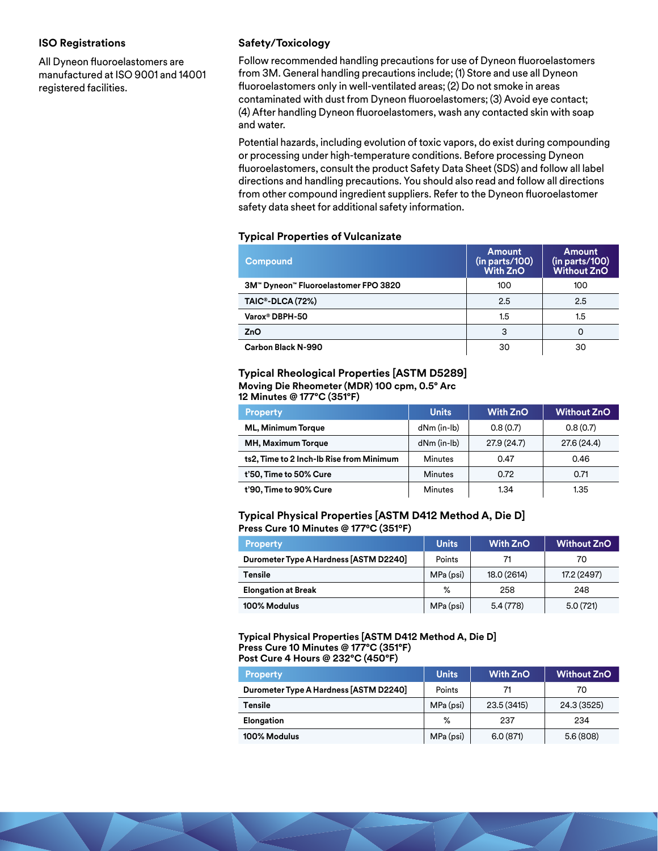#### **ISO Registrations**

All Dyneon fluoroelastomers are manufactured at ISO 9001 and 14001 registered facilities.

#### **Safety/Toxicology**

Follow recommended handling precautions for use of Dyneon fluoroelastomers from 3M. General handling precautions include; (1) Store and use all Dyneon fluoroelastomers only in well-ventilated areas; (2) Do not smoke in areas contaminated with dust from Dyneon fluoroelastomers; (3) Avoid eye contact; (4) After handling Dyneon fluoroelastomers, wash any contacted skin with soap and water.

Potential hazards, including evolution of toxic vapors, do exist during compounding or processing under high-temperature conditions. Before processing Dyneon fluoroelastomers, consult the product Safety Data Sheet (SDS) and follow all label directions and handling precautions. You should also read and follow all directions from other compound ingredient suppliers. Refer to the Dyneon fluoroelastomer safety data sheet for additional safety information.

#### **Typical Properties of Vulcanizate**

| Compound                             | Amount<br>(in parts/100)<br><b>With ZnO</b> | <b>Amount</b><br>(in parts/100)<br><b>Without ZnO</b> |
|--------------------------------------|---------------------------------------------|-------------------------------------------------------|
| 3M™ Dyneon™ Fluoroelastomer FPO 3820 | 100                                         | 100                                                   |
| TAIC®-DLCA (72%)                     | 2.5                                         | 2.5                                                   |
| Varox <sup>®</sup> DBPH-50           | 1.5                                         | 1.5                                                   |
| ZnO                                  | 3                                           | $\Omega$                                              |
| Carbon Black N-990                   | 30                                          | 30                                                    |

#### **Typical Rheological Properties [ASTM D5289] Moving Die Rheometer (MDR) 100 cpm, 0.5° Arc**

**12 Minutes @ 177°C (351°F)**

| <b>Property</b>                          | <b>Units</b>      | <b>With ZnO</b> | <b>Without ZnO</b> |  |
|------------------------------------------|-------------------|-----------------|--------------------|--|
| <b>ML, Minimum Torque</b>                | $dNm$ (in-lb)     | 0.8(0.7)        | 0.8(0.7)           |  |
| MH, Maximum Torque                       | $dNm$ (in- $lb$ ) | 27.9(24.7)      | 27.6 (24.4)        |  |
| ts2, Time to 2 Inch-Ib Rise from Minimum | <b>Minutes</b>    | 0.47            | 0.46               |  |
| t'50, Time to 50% Cure                   | <b>Minutes</b>    | 0.72            | 0.71               |  |
| t'90, Time to 90% Cure                   | <b>Minutes</b>    | 1.34            | 1.35               |  |

#### **Typical Physical Properties [ASTM D412 Method A, Die D] Press Cure 10 Minutes @ 177⁰C (351ºF)**

| <b>Property</b>                        | <b>Units</b> | <b>With ZnO</b> | <b>Without ZnO</b> |  |
|----------------------------------------|--------------|-----------------|--------------------|--|
| Durometer Type A Hardness [ASTM D2240] | Points       | 71              | 70                 |  |
| <b>Tensile</b>                         | MPa (psi)    | 18.0 (2614)     | 17.2 (2497)        |  |
| <b>Elongation at Break</b>             | $\%$         | 258             | 248                |  |
| 100% Modulus                           | MPa (psi)    | 5.4(778)        | 5.0(721)           |  |

#### **Typical Physical Properties [ASTM D412 Method A, Die D] Press Cure 10 Minutes @ 177°C (351°F) Post Cure 4 Hours @ 232°C (450°F)**

| <b>Property</b>                        | <b>Units</b> | <b>With ZnO</b> | <b>Without ZnO</b> |  |
|----------------------------------------|--------------|-----------------|--------------------|--|
| Durometer Type A Hardness [ASTM D2240] | Points       | 71              | 70                 |  |
| Tensile                                | MPa (psi)    | 23.5 (3415)     | 24.3 (3525)        |  |
| Elongation                             | %            | 237             | 234                |  |
| 100% Modulus                           | MPa (psi)    | 6.0(871)        | 5.6(808)           |  |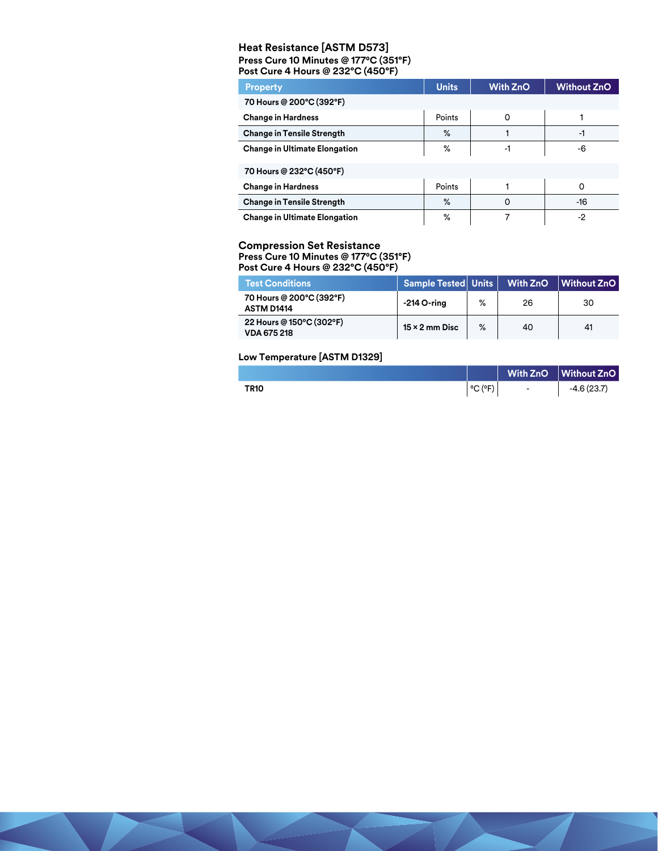#### **Heat Resistance [ASTM D573] Press Cure 10 Minutes @ 177⁰C (351°F) Post Cure 4 Hours @ 232°C (450°F)**

| <b>Property</b>                      | <b>Units</b> | <b>With ZnO</b> | <b>Without ZnO</b> |  |
|--------------------------------------|--------------|-----------------|--------------------|--|
| 70 Hours @ 200°C (392°F)             |              |                 |                    |  |
| <b>Change in Hardness</b>            | Points       | $\Omega$        |                    |  |
| <b>Change in Tensile Strength</b>    | $\%$         |                 | -1                 |  |
| <b>Change in Ultimate Elongation</b> | %            | -1              | -6                 |  |
| 70 Hours @ 232°C (450°F)             |              |                 |                    |  |
| <b>Change in Hardness</b>            | Points       |                 | 0                  |  |
| <b>Change in Tensile Strength</b>    | $\%$         | 0               | $-16$              |  |
| <b>Change in Ultimate Elongation</b> | %            |                 | $-2$               |  |

# **Compression Set Resistance**

**Press Cure 10 Minutes @ 177⁰C (351°F)**

**Post Cure 4 Hours @ 232°C (450°F)**

| <b>Test Conditions</b>                         | Sample Tested   Units   With ZnO   Without ZnO |   |    |    |
|------------------------------------------------|------------------------------------------------|---|----|----|
| 70 Hours @ 200°C (392°F)<br><b>ASTM D1414</b>  | -214 O-ring                                    | ℅ | 26 | 30 |
| 22 Hours @ 150°C (302°F)<br><b>VDA 675 218</b> | $15 \times 2$ mm Disc                          | % | 40 | 41 |

#### **Low Temperature [ASTM D1329]**

|             |                              |                          | With ZnO Without ZnO |
|-------------|------------------------------|--------------------------|----------------------|
| <b>TR10</b> | $^{\circ}$ C ( $^{\circ}$ F) | $\overline{\phantom{0}}$ | $-4.6(23.7)$         |